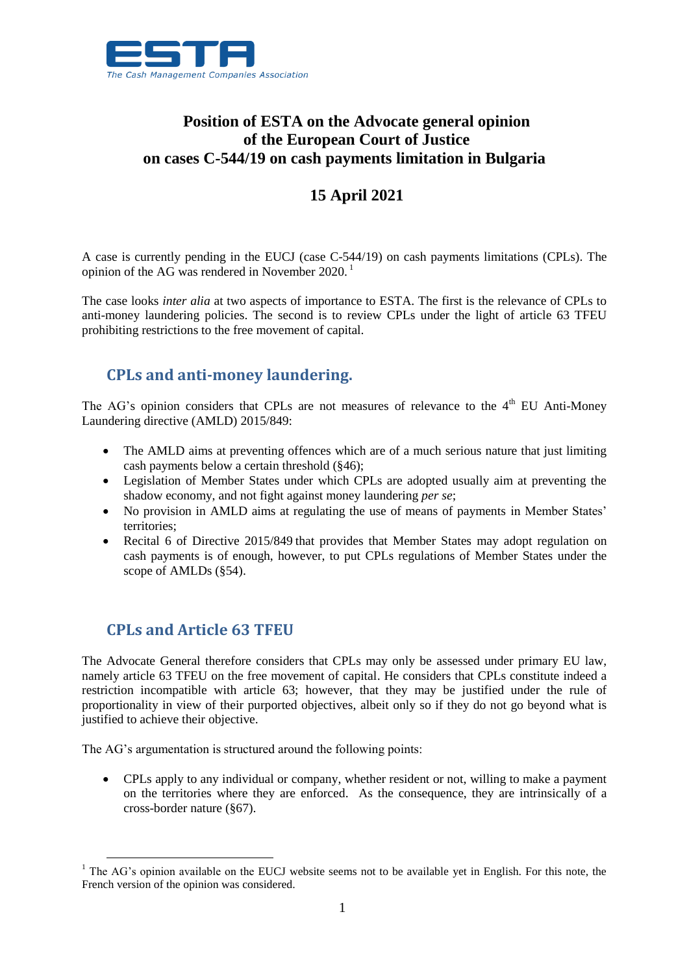

## **Position of ESTA on the Advocate general opinion of the European Court of Justice on cases C-544/19 on cash payments limitation in Bulgaria**

## **15 April 2021**

A case is currently pending in the EUCJ (case C-544/19) on cash payments limitations (CPLs). The opinion of the AG was rendered in November 2020. <sup>1</sup>

The case looks *inter alia* at two aspects of importance to ESTA. The first is the relevance of CPLs to anti-money laundering policies. The second is to review CPLs under the light of article 63 TFEU prohibiting restrictions to the free movement of capital.

## **CPLs and anti-money laundering.**

The AG's opinion considers that CPLs are not measures of relevance to the  $4<sup>th</sup>$  EU Anti-Money Laundering directive (AMLD) 2015/849:

- The AMLD aims at preventing offences which are of a much serious nature that just limiting cash payments below a certain threshold (§46);
- Legislation of Member States under which CPLs are adopted usually aim at preventing the shadow economy, and not fight against money laundering *per se*;
- No provision in AMLD aims at regulating the use of means of payments in Member States' territories;
- Recital 6 of Directive 2015/849 that provides that Member States may adopt regulation on cash payments is of enough, however, to put CPLs regulations of Member States under the scope of AMLDs (§54).

## **CPLs and Article 63 TFEU**

 $\overline{a}$ 

The Advocate General therefore considers that CPLs may only be assessed under primary EU law, namely article 63 TFEU on the free movement of capital. He considers that CPLs constitute indeed a restriction incompatible with article 63; however, that they may be justified under the rule of proportionality in view of their purported objectives, albeit only so if they do not go beyond what is justified to achieve their objective.

The AG's argumentation is structured around the following points:

 CPLs apply to any individual or company, whether resident or not, willing to make a payment on the territories where they are enforced. As the consequence, they are intrinsically of a cross-border nature (§67).

<sup>&</sup>lt;sup>1</sup> The AG's opinion available on the EUCJ website seems not to be available yet in English. For this note, the French version of the opinion was considered.